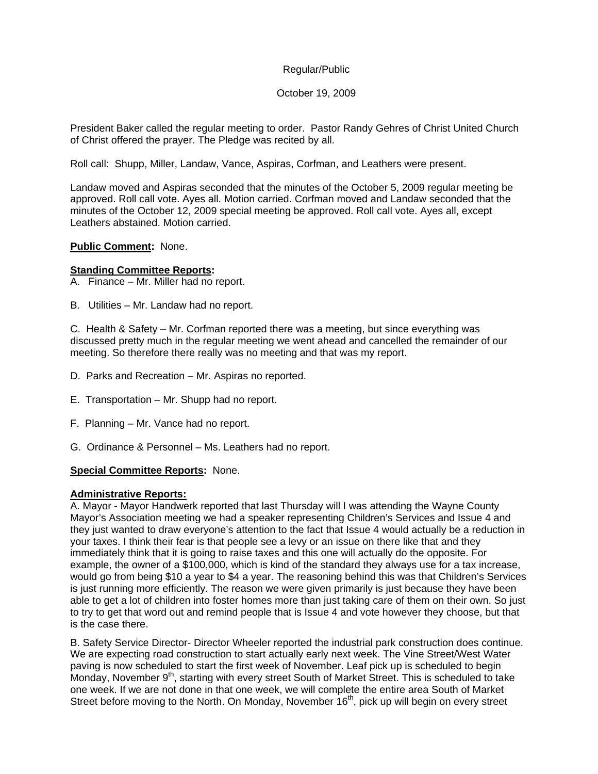#### October 19, 2009

President Baker called the regular meeting to order. Pastor Randy Gehres of Christ United Church of Christ offered the prayer. The Pledge was recited by all.

Roll call: Shupp, Miller, Landaw, Vance, Aspiras, Corfman, and Leathers were present.

Landaw moved and Aspiras seconded that the minutes of the October 5, 2009 regular meeting be approved. Roll call vote. Ayes all. Motion carried. Corfman moved and Landaw seconded that the minutes of the October 12, 2009 special meeting be approved. Roll call vote. Ayes all, except Leathers abstained. Motion carried.

#### **Public Comment:** None.

#### **Standing Committee Reports:**

- A. Finance Mr. Miller had no report.
- B. Utilities Mr. Landaw had no report.

C. Health & Safety – Mr. Corfman reported there was a meeting, but since everything was discussed pretty much in the regular meeting we went ahead and cancelled the remainder of our meeting. So therefore there really was no meeting and that was my report.

- D. Parks and Recreation Mr. Aspiras no reported.
- E. Transportation Mr. Shupp had no report.
- F. Planning Mr. Vance had no report.
- G. Ordinance & Personnel Ms. Leathers had no report.

### **Special Committee Reports:** None.

#### **Administrative Reports:**

A. Mayor - Mayor Handwerk reported that last Thursday will I was attending the Wayne County Mayor's Association meeting we had a speaker representing Children's Services and Issue 4 and they just wanted to draw everyone's attention to the fact that Issue 4 would actually be a reduction in your taxes. I think their fear is that people see a levy or an issue on there like that and they immediately think that it is going to raise taxes and this one will actually do the opposite. For example, the owner of a \$100,000, which is kind of the standard they always use for a tax increase, would go from being \$10 a year to \$4 a year. The reasoning behind this was that Children's Services is just running more efficiently. The reason we were given primarily is just because they have been able to get a lot of children into foster homes more than just taking care of them on their own. So just to try to get that word out and remind people that is Issue 4 and vote however they choose, but that is the case there.

B. Safety Service Director- Director Wheeler reported the industrial park construction does continue. We are expecting road construction to start actually early next week. The Vine Street/West Water paving is now scheduled to start the first week of November. Leaf pick up is scheduled to begin Monday, November  $9<sup>th</sup>$ , starting with every street South of Market Street. This is scheduled to take one week. If we are not done in that one week, we will complete the entire area South of Market Street before moving to the North. On Monday, November 16<sup>th</sup>, pick up will begin on every street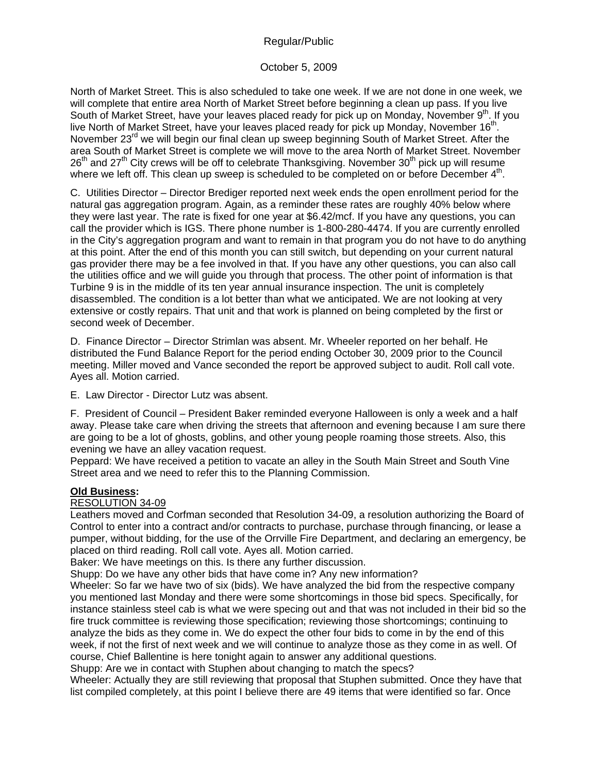# October 5, 2009

North of Market Street. This is also scheduled to take one week. If we are not done in one week, we will complete that entire area North of Market Street before beginning a clean up pass. If you live South of Market Street, have your leaves placed ready for pick up on Monday, November 9th. If you live North of Market Street, have your leaves placed ready for pick up Monday, November  $16<sup>th</sup>$ . November 23<sup>rd</sup> we will begin our final clean up sweep beginning South of Market Street. After the area South of Market Street is complete we will move to the area North of Market Street. November  $26<sup>th</sup>$  and  $27<sup>th</sup>$  City crews will be off to celebrate Thanksgiving. November  $30<sup>th</sup>$  pick up will resume where we left off. This clean up sweep is scheduled to be completed on or before December  $4<sup>th</sup>$ .

C. Utilities Director – Director Brediger reported next week ends the open enrollment period for the natural gas aggregation program. Again, as a reminder these rates are roughly 40% below where they were last year. The rate is fixed for one year at \$6.42/mcf. If you have any questions, you can call the provider which is IGS. There phone number is 1-800-280-4474. If you are currently enrolled in the City's aggregation program and want to remain in that program you do not have to do anything at this point. After the end of this month you can still switch, but depending on your current natural gas provider there may be a fee involved in that. If you have any other questions, you can also call the utilities office and we will guide you through that process. The other point of information is that Turbine 9 is in the middle of its ten year annual insurance inspection. The unit is completely disassembled. The condition is a lot better than what we anticipated. We are not looking at very extensive or costly repairs. That unit and that work is planned on being completed by the first or second week of December.

D. Finance Director – Director Strimlan was absent. Mr. Wheeler reported on her behalf. He distributed the Fund Balance Report for the period ending October 30, 2009 prior to the Council meeting. Miller moved and Vance seconded the report be approved subject to audit. Roll call vote. Ayes all. Motion carried.

E. Law Director - Director Lutz was absent.

F. President of Council – President Baker reminded everyone Halloween is only a week and a half away. Please take care when driving the streets that afternoon and evening because I am sure there are going to be a lot of ghosts, goblins, and other young people roaming those streets. Also, this evening we have an alley vacation request.

Peppard: We have received a petition to vacate an alley in the South Main Street and South Vine Street area and we need to refer this to the Planning Commission.

# **Old Business:**

### RESOLUTION 34-09

Leathers moved and Corfman seconded that Resolution 34-09, a resolution authorizing the Board of Control to enter into a contract and/or contracts to purchase, purchase through financing, or lease a pumper, without bidding, for the use of the Orrville Fire Department, and declaring an emergency, be placed on third reading. Roll call vote. Ayes all. Motion carried.

Baker: We have meetings on this. Is there any further discussion.

Shupp: Do we have any other bids that have come in? Any new information?

Wheeler: So far we have two of six (bids). We have analyzed the bid from the respective company you mentioned last Monday and there were some shortcomings in those bid specs. Specifically, for instance stainless steel cab is what we were specing out and that was not included in their bid so the fire truck committee is reviewing those specification; reviewing those shortcomings; continuing to analyze the bids as they come in. We do expect the other four bids to come in by the end of this week, if not the first of next week and we will continue to analyze those as they come in as well. Of course, Chief Ballentine is here tonight again to answer any additional questions.

Shupp: Are we in contact with Stuphen about changing to match the specs?

Wheeler: Actually they are still reviewing that proposal that Stuphen submitted. Once they have that list compiled completely, at this point I believe there are 49 items that were identified so far. Once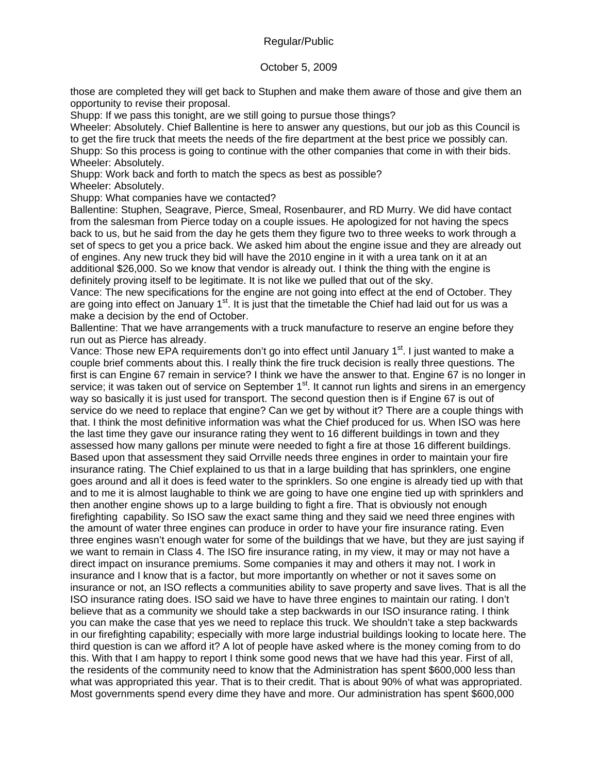### October 5, 2009

those are completed they will get back to Stuphen and make them aware of those and give them an opportunity to revise their proposal.

Shupp: If we pass this tonight, are we still going to pursue those things?

Wheeler: Absolutely. Chief Ballentine is here to answer any questions, but our job as this Council is to get the fire truck that meets the needs of the fire department at the best price we possibly can. Shupp: So this process is going to continue with the other companies that come in with their bids. Wheeler: Absolutely.

Shupp: Work back and forth to match the specs as best as possible?

Wheeler: Absolutely.

Shupp: What companies have we contacted?

Ballentine: Stuphen, Seagrave, Pierce, Smeal, Rosenbaurer, and RD Murry. We did have contact from the salesman from Pierce today on a couple issues. He apologized for not having the specs back to us, but he said from the day he gets them they figure two to three weeks to work through a set of specs to get you a price back. We asked him about the engine issue and they are already out of engines. Any new truck they bid will have the 2010 engine in it with a urea tank on it at an additional \$26,000. So we know that vendor is already out. I think the thing with the engine is definitely proving itself to be legitimate. It is not like we pulled that out of the sky.

Vance: The new specifications for the engine are not going into effect at the end of October. They are going into effect on January 1<sup>st</sup>. It is just that the timetable the Chief had laid out for us was a make a decision by the end of October.

Ballentine: That we have arrangements with a truck manufacture to reserve an engine before they run out as Pierce has already.

Vance: Those new EPA requirements don't go into effect until January 1<sup>st</sup>. I just wanted to make a couple brief comments about this. I really think the fire truck decision is really three questions. The first is can Engine 67 remain in service? I think we have the answer to that. Engine 67 is no longer in service; it was taken out of service on September 1<sup>st</sup>. It cannot run lights and sirens in an emergency way so basically it is just used for transport. The second question then is if Engine 67 is out of service do we need to replace that engine? Can we get by without it? There are a couple things with that. I think the most definitive information was what the Chief produced for us. When ISO was here the last time they gave our insurance rating they went to 16 different buildings in town and they assessed how many gallons per minute were needed to fight a fire at those 16 different buildings. Based upon that assessment they said Orrville needs three engines in order to maintain your fire insurance rating. The Chief explained to us that in a large building that has sprinklers, one engine goes around and all it does is feed water to the sprinklers. So one engine is already tied up with that and to me it is almost laughable to think we are going to have one engine tied up with sprinklers and then another engine shows up to a large building to fight a fire. That is obviously not enough firefighting capability. So ISO saw the exact same thing and they said we need three engines with the amount of water three engines can produce in order to have your fire insurance rating. Even three engines wasn't enough water for some of the buildings that we have, but they are just saying if we want to remain in Class 4. The ISO fire insurance rating, in my view, it may or may not have a direct impact on insurance premiums. Some companies it may and others it may not. I work in insurance and I know that is a factor, but more importantly on whether or not it saves some on insurance or not, an ISO reflects a communities ability to save property and save lives. That is all the ISO insurance rating does. ISO said we have to have three engines to maintain our rating. I don't believe that as a community we should take a step backwards in our ISO insurance rating. I think you can make the case that yes we need to replace this truck. We shouldn't take a step backwards in our firefighting capability; especially with more large industrial buildings looking to locate here. The third question is can we afford it? A lot of people have asked where is the money coming from to do this. With that I am happy to report I think some good news that we have had this year. First of all, the residents of the community need to know that the Administration has spent \$600,000 less than what was appropriated this year. That is to their credit. That is about 90% of what was appropriated. Most governments spend every dime they have and more. Our administration has spent \$600,000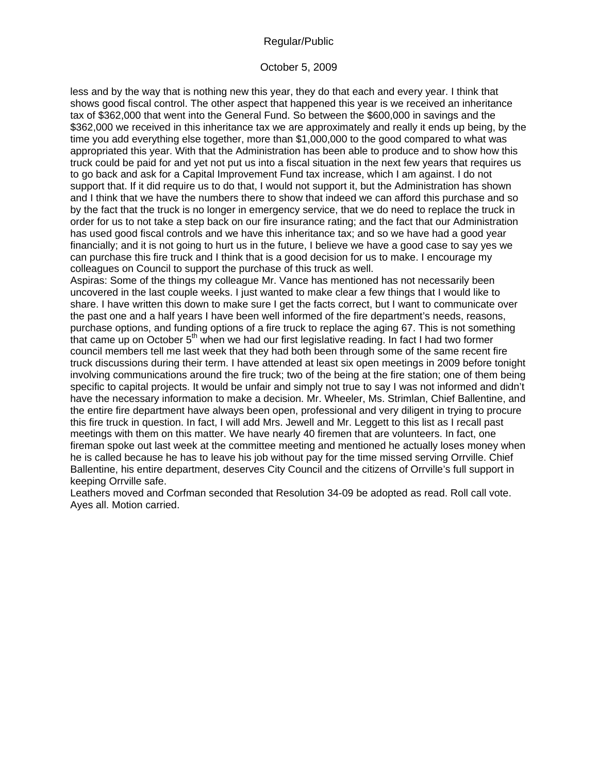### October 5, 2009

less and by the way that is nothing new this year, they do that each and every year. I think that shows good fiscal control. The other aspect that happened this year is we received an inheritance tax of \$362,000 that went into the General Fund. So between the \$600,000 in savings and the \$362,000 we received in this inheritance tax we are approximately and really it ends up being, by the time you add everything else together, more than \$1,000,000 to the good compared to what was appropriated this year. With that the Administration has been able to produce and to show how this truck could be paid for and yet not put us into a fiscal situation in the next few years that requires us to go back and ask for a Capital Improvement Fund tax increase, which I am against. I do not support that. If it did require us to do that, I would not support it, but the Administration has shown and I think that we have the numbers there to show that indeed we can afford this purchase and so by the fact that the truck is no longer in emergency service, that we do need to replace the truck in order for us to not take a step back on our fire insurance rating; and the fact that our Administration has used good fiscal controls and we have this inheritance tax; and so we have had a good year financially; and it is not going to hurt us in the future, I believe we have a good case to say yes we can purchase this fire truck and I think that is a good decision for us to make. I encourage my colleagues on Council to support the purchase of this truck as well.

Aspiras: Some of the things my colleague Mr. Vance has mentioned has not necessarily been uncovered in the last couple weeks. I just wanted to make clear a few things that I would like to share. I have written this down to make sure I get the facts correct, but I want to communicate over the past one and a half years I have been well informed of the fire department's needs, reasons, purchase options, and funding options of a fire truck to replace the aging 67. This is not something that came up on October 5<sup>th</sup> when we had our first legislative reading. In fact I had two former council members tell me last week that they had both been through some of the same recent fire truck discussions during their term. I have attended at least six open meetings in 2009 before tonight involving communications around the fire truck; two of the being at the fire station; one of them being specific to capital projects. It would be unfair and simply not true to say I was not informed and didn't have the necessary information to make a decision. Mr. Wheeler, Ms. Strimlan, Chief Ballentine, and the entire fire department have always been open, professional and very diligent in trying to procure this fire truck in question. In fact, I will add Mrs. Jewell and Mr. Leggett to this list as I recall past meetings with them on this matter. We have nearly 40 firemen that are volunteers. In fact, one fireman spoke out last week at the committee meeting and mentioned he actually loses money when he is called because he has to leave his job without pay for the time missed serving Orrville. Chief Ballentine, his entire department, deserves City Council and the citizens of Orrville's full support in keeping Orrville safe.

Leathers moved and Corfman seconded that Resolution 34-09 be adopted as read. Roll call vote. Ayes all. Motion carried.